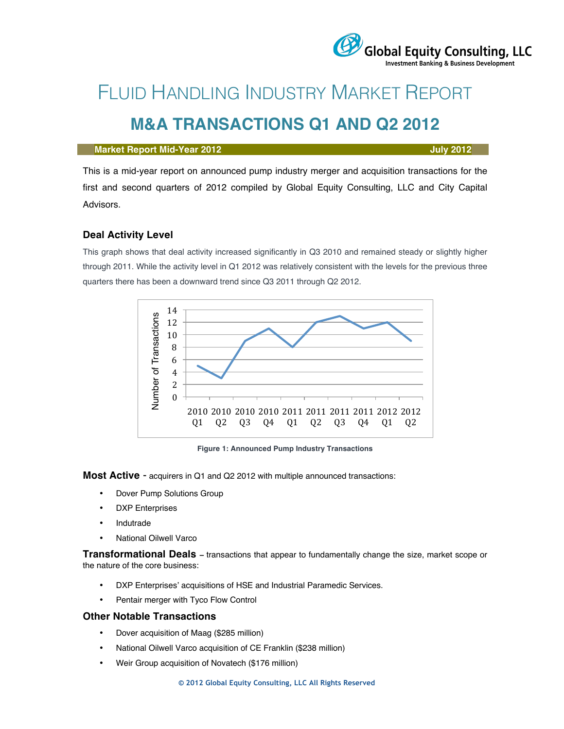# FLUID HANDLING INDUSTRY MARKET REPORT

# **M&A TRANSACTIONS Q1 AND Q2 2012**

#### **Market Report Mid-Year 2012 July 2012**

This is a mid-year report on announced pump industry merger and acquisition transactions for the first and second quarters of 2012 compiled by Global Equity Consulting, LLC and City Capital Advisors.

### **Deal Activity Level**

This graph shows that deal activity increased significantly in Q3 2010 and remained steady or slightly higher through 2011. While the activity level in Q1 2012 was relatively consistent with the levels for the previous three quarters there has been a downward trend since Q3 2011 through Q2 2012.



**Figure 1: Announced Pump Industry Transactions**

**Most Active** - acquirers in Q1 and Q2 2012 with multiple announced transactions:

- Dover Pump Solutions Group
- DXP Enterprises
- **Indutrade**
- National Oilwell Varco

**Transformational Deals –** transactions that appear to fundamentally change the size, market scope or the nature of the core business:

- DXP Enterprises' acquisitions of HSE and Industrial Paramedic Services.
- Pentair merger with Tyco Flow Control

#### **Other Notable Transactions**

- Dover acquisition of Maag (\$285 million)
- National Oilwell Varco acquisition of CE Franklin (\$238 million)
- Weir Group acquisition of Novatech (\$176 million)



## Global Equity Consulting, LLC **Investment Banking & Business Development**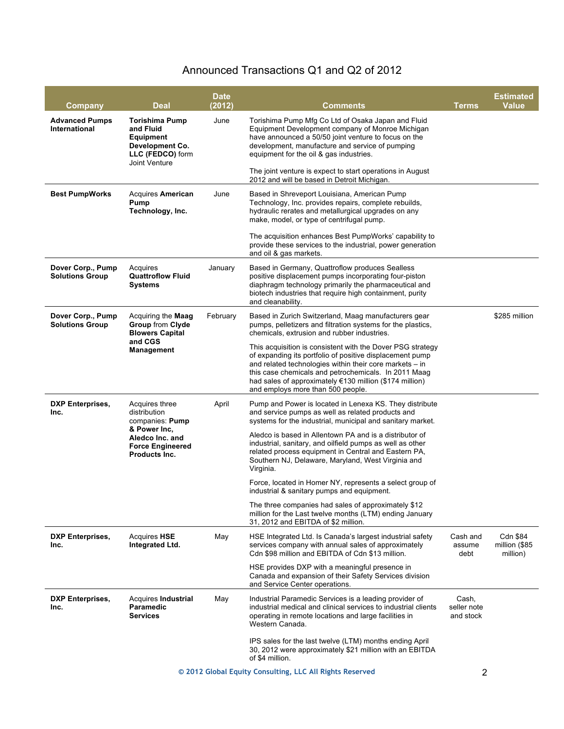## Announced Transactions Q1 and Q2 of 2012

| Company                                                  | <b>Deal</b>                                                                                                                      | <b>Date</b><br>(2012) | <b>Comments</b>                                                                                                                                                                                                                                                                                                                           | <b>Terms</b>                      | <b>Estimated</b><br><b>Value</b>      |
|----------------------------------------------------------|----------------------------------------------------------------------------------------------------------------------------------|-----------------------|-------------------------------------------------------------------------------------------------------------------------------------------------------------------------------------------------------------------------------------------------------------------------------------------------------------------------------------------|-----------------------------------|---------------------------------------|
| <b>Advanced Pumps</b><br>International                   | <b>Torishima Pump</b><br>and Fluid<br>Equipment<br>Development Co.<br>LLC (FEDCO) form                                           | June                  | Torishima Pump Mfg Co Ltd of Osaka Japan and Fluid<br>Equipment Development company of Monroe Michigan<br>have announced a 50/50 joint venture to focus on the<br>development, manufacture and service of pumping<br>equipment for the oil & gas industries.                                                                              |                                   |                                       |
|                                                          | Joint Venture                                                                                                                    |                       | The joint venture is expect to start operations in August<br>2012 and will be based in Detroit Michigan.                                                                                                                                                                                                                                  |                                   |                                       |
| <b>Best PumpWorks</b>                                    | <b>Acquires American</b><br>Pump<br>Technology, Inc.                                                                             | June                  | Based in Shreveport Louisiana, American Pump<br>Technology, Inc. provides repairs, complete rebuilds,<br>hydraulic rerates and metallurgical upgrades on any<br>make, model, or type of centrifugal pump.                                                                                                                                 |                                   |                                       |
|                                                          |                                                                                                                                  |                       | The acquisition enhances Best PumpWorks' capability to<br>provide these services to the industrial, power generation<br>and oil & gas markets.                                                                                                                                                                                            |                                   |                                       |
| Dover Corp., Pump<br><b>Solutions Group</b>              | Acquires<br><b>Quattroflow Fluid</b><br><b>Systems</b>                                                                           | January               | Based in Germany, Quattroflow produces Sealless<br>positive displacement pumps incorporating four-piston<br>diaphragm technology primarily the pharmaceutical and<br>biotech industries that require high containment, purity<br>and cleanability.                                                                                        |                                   |                                       |
| Dover Corp., Pump<br><b>Solutions Group</b>              | Acquiring the Maag<br><b>Group from Clyde</b><br><b>Blowers Capital</b><br>and CGS<br>Management                                 | February              | Based in Zurich Switzerland, Maag manufacturers gear<br>pumps, pelletizers and filtration systems for the plastics,<br>chemicals, extrusion and rubber industries.                                                                                                                                                                        |                                   | \$285 million                         |
|                                                          |                                                                                                                                  |                       | This acquisition is consistent with the Dover PSG strategy<br>of expanding its portfolio of positive displacement pump<br>and related technologies within their core markets - in<br>this case chemicals and petrochemicals. In 2011 Maag<br>had sales of approximately €130 million (\$174 million)<br>and employs more than 500 people. |                                   |                                       |
| <b>DXP Enterprises,</b><br>Inc.                          | Acquires three<br>distribution<br>companies: Pump<br>& Power Inc,<br>Aledco Inc. and<br><b>Force Engineered</b><br>Products Inc. | April                 | Pump and Power is located in Lenexa KS. They distribute<br>and service pumps as well as related products and<br>systems for the industrial, municipal and sanitary market.                                                                                                                                                                |                                   |                                       |
|                                                          |                                                                                                                                  |                       | Aledco is based in Allentown PA and is a distributor of<br>industrial, sanitary, and oilfield pumps as well as other<br>related process equipment in Central and Eastern PA,<br>Southern NJ, Delaware, Maryland, West Virginia and<br>Virginia.                                                                                           |                                   |                                       |
|                                                          |                                                                                                                                  |                       | Force, located in Homer NY, represents a select group of<br>industrial & sanitary pumps and equipment.                                                                                                                                                                                                                                    |                                   |                                       |
|                                                          |                                                                                                                                  |                       | The three companies had sales of approximately \$12<br>million for the Last twelve months (LTM) ending January<br>31, 2012 and EBITDA of \$2 million.                                                                                                                                                                                     |                                   |                                       |
| <b>DXP Enterprises,</b><br>Inc.                          | <b>Acquires HSE</b><br>Integrated Ltd.                                                                                           | May                   | HSE Integrated Ltd. Is Canada's largest industrial safety<br>services company with annual sales of approximately<br>Cdn \$98 million and EBITDA of Cdn \$13 million.                                                                                                                                                                      | Cash and<br>assume<br>debt        | Cdn \$84<br>million (\$85<br>million) |
|                                                          |                                                                                                                                  |                       | HSE provides DXP with a meaningful presence in<br>Canada and expansion of their Safety Services division<br>and Service Center operations.                                                                                                                                                                                                |                                   |                                       |
| <b>DXP Enterprises,</b><br>Inc.                          | Acquires Industrial<br>Paramedic<br><b>Services</b>                                                                              | May                   | Industrial Paramedic Services is a leading provider of<br>industrial medical and clinical services to industrial clients<br>operating in remote locations and large facilities in<br>Western Canada.                                                                                                                                      | Cash,<br>seller note<br>and stock |                                       |
|                                                          |                                                                                                                                  |                       | IPS sales for the last twelve (LTM) months ending April<br>30, 2012 were approximately \$21 million with an EBITDA<br>of \$4 million.                                                                                                                                                                                                     |                                   |                                       |
| © 2012 Global Equity Consulting, LLC All Rights Reserved |                                                                                                                                  |                       |                                                                                                                                                                                                                                                                                                                                           |                                   | $\overline{2}$                        |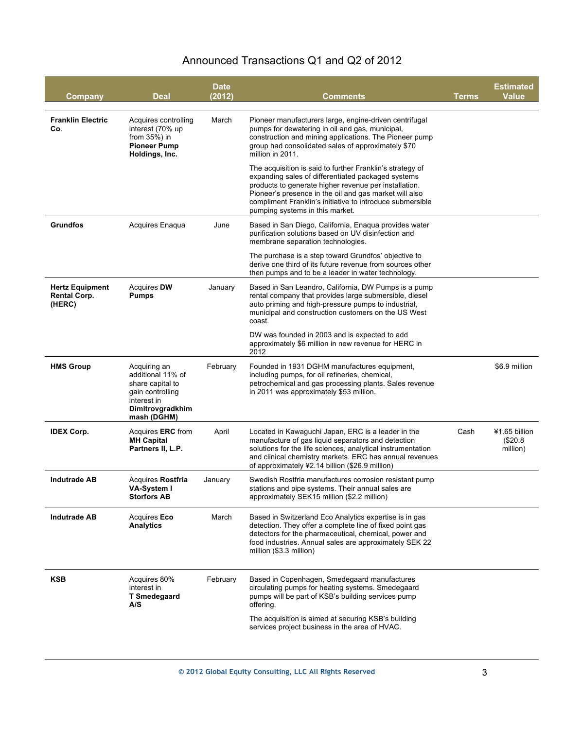## Announced Transactions Q1 and Q2 of 2012

| Company                                                 | Deal                                                                                                                        | Date<br>(2012) | Comments                                                                                                                                                                                                                                                                                                                           | <b>Terms</b> | <b>Estimated</b><br><b>Value</b>      |
|---------------------------------------------------------|-----------------------------------------------------------------------------------------------------------------------------|----------------|------------------------------------------------------------------------------------------------------------------------------------------------------------------------------------------------------------------------------------------------------------------------------------------------------------------------------------|--------------|---------------------------------------|
| <b>Franklin Electric</b><br>Co.                         | Acquires controlling<br>interest (70% up<br>from $35%$ ) in<br><b>Pioneer Pump</b><br>Holdings, Inc.                        | March          | Pioneer manufacturers large, engine-driven centrifugal<br>pumps for dewatering in oil and gas, municipal,<br>construction and mining applications. The Pioneer pump<br>group had consolidated sales of approximately \$70<br>million in 2011.                                                                                      |              |                                       |
|                                                         |                                                                                                                             |                | The acquisition is said to further Franklin's strategy of<br>expanding sales of differentiated packaged systems<br>products to generate higher revenue per installation.<br>Pioneer's presence in the oil and gas market will also<br>compliment Franklin's initiative to introduce submersible<br>pumping systems in this market. |              |                                       |
| <b>Grundfos</b>                                         | Acquires Enaqua                                                                                                             | June           | Based in San Diego, California, Enaqua provides water<br>purification solutions based on UV disinfection and<br>membrane separation technologies.                                                                                                                                                                                  |              |                                       |
|                                                         |                                                                                                                             |                | The purchase is a step toward Grundfos' objective to<br>derive one third of its future revenue from sources other<br>then pumps and to be a leader in water technology.                                                                                                                                                            |              |                                       |
| <b>Hertz Equipment</b><br><b>Rental Corp.</b><br>(HERC) | Acquires DW<br><b>Pumps</b>                                                                                                 | January        | Based in San Leandro, California, DW Pumps is a pump<br>rental company that provides large submersible, diesel<br>auto priming and high-pressure pumps to industrial,<br>municipal and construction customers on the US West<br>coast.                                                                                             |              |                                       |
|                                                         |                                                                                                                             |                | DW was founded in 2003 and is expected to add<br>approximately \$6 million in new revenue for HERC in<br>2012                                                                                                                                                                                                                      |              |                                       |
| <b>HMS Group</b>                                        | Acquiring an<br>additional 11% of<br>share capital to<br>gain controlling<br>interest in<br>Dimitrovgradkhim<br>mash (DGHM) | February       | Founded in 1931 DGHM manufactures equipment,<br>including pumps, for oil refineries, chemical,<br>petrochemical and gas processing plants. Sales revenue<br>in 2011 was approximately \$53 million.                                                                                                                                |              | \$6.9 million                         |
| <b>IDEX Corp.</b>                                       | Acquires <b>ERC</b> from<br><b>MH Capital</b><br>Partners II, L.P.                                                          | April          | Located in Kawaguchi Japan, ERC is a leader in the<br>manufacture of gas liquid separators and detection<br>solutions for the life sciences, analytical instrumentation<br>and clinical chemistry markets. ERC has annual revenues<br>of approximately ¥2.14 billion (\$26.9 million)                                              | Cash         | ¥1.65 billion<br>(\$20.8"<br>million) |
| <b>Indutrade AB</b>                                     | Acquires Rostfria<br>VA-System I<br><b>Storfors AB</b>                                                                      | January        | Swedish Rostfria manufactures corrosion resistant pump<br>stations and pipe systems. Their annual sales are<br>approximately SEK15 million (\$2.2 million)                                                                                                                                                                         |              |                                       |
| <b>Indutrade AB</b>                                     | Acquires Eco<br>Analytics                                                                                                   | March          | Based in Switzerland Eco Analytics expertise is in gas<br>detection. They offer a complete line of fixed point gas<br>detectors for the pharmaceutical, chemical, power and<br>food industries. Annual sales are approximately SEK 22<br>million (\$3.3 million)                                                                   |              |                                       |
| KSB                                                     | Acquires 80%<br>interest in<br><b>T Smedegaard</b><br>A/S                                                                   | February       | Based in Copenhagen, Smedegaard manufactures<br>circulating pumps for heating systems. Smedegaard<br>pumps will be part of KSB's building services pump<br>offering.                                                                                                                                                               |              |                                       |
|                                                         |                                                                                                                             |                | The acquisition is aimed at securing KSB's building<br>services project business in the area of HVAC.                                                                                                                                                                                                                              |              |                                       |